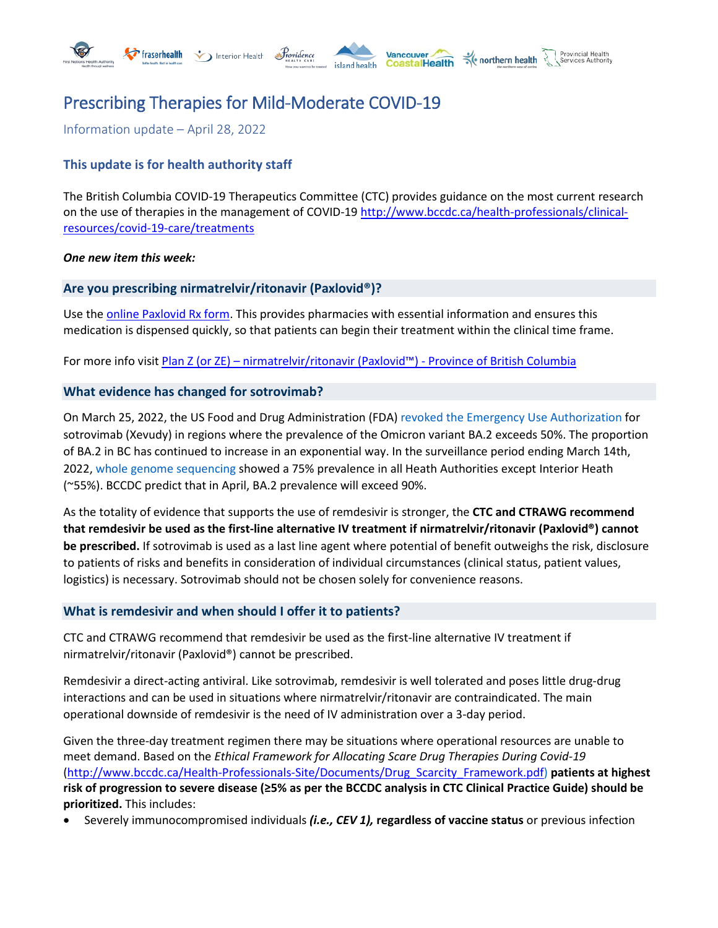

Information update – April 28, 2022

# **This update is for health authority staff**

The British Columbia COVID-19 Therapeutics Committee (CTC) provides guidance on the most current research on the use of therapies in the management of COVID-19 [http://www.bccdc.ca/health-professionals/clinical](http://www.bccdc.ca/health-professionals/clinical-resources/covid-19-care/treatments)[resources/covid-19-care/treatments](http://www.bccdc.ca/health-professionals/clinical-resources/covid-19-care/treatments)

#### *One new item this week:*

#### **Are you prescribing nirmatrelvir/ritonavir (Paxlovid®)?**

Use th[e online Paxlovid Rx form.](https://www2.gov.bc.ca/assets/gov/health/forms/2368fil.pdf) This provides pharmacies with essential information and ensures this medication is dispensed quickly, so that patients can begin their treatment within the clinical time frame.

For more info visit Plan Z (or ZE) – [nirmatrelvir/ritonavir \(Paxlovid™\) -](https://www2.gov.bc.ca/gov/content/health/practitioner-professional-resources/pharmacare/prescribers/limited-coverage-drug-program/plan-z-nirmatrelvir-ritonavir-paxlovid) Province of British Columbia

#### **What evidence has changed for sotrovimab?**

On March 25, 2022, the US Food and Drug Administration (FDA) revoked the Emergency Use Authorization for sotrovimab (Xevudy) in regions where the prevalence of the Omicron variant BA.2 exceeds 50%. The proportion of BA.2 in BC has continued to increase in an exponential way. In the surveillance period ending March 14th, 2022, whole genome sequencing showed a 75% prevalence in all Heath Authorities except Interior Heath (~55%). BCCDC predict that in April, BA.2 prevalence will exceed 90%.

As the totality of evidence that supports the use of remdesivir is stronger, the **CTC and CTRAWG recommend that remdesivir be used as the first-line alternative IV treatment if nirmatrelvir/ritonavir (Paxlovid®) cannot be prescribed.** If sotrovimab is used as a last line agent where potential of benefit outweighs the risk, disclosure to patients of risks and benefits in consideration of individual circumstances (clinical status, patient values, logistics) is necessary. Sotrovimab should not be chosen solely for convenience reasons.

#### **What is remdesivir and when should I offer it to patients?**

CTC and CTRAWG recommend that remdesivir be used as the first-line alternative IV treatment if nirmatrelvir/ritonavir (Paxlovid®) cannot be prescribed.

Remdesivir a direct-acting antiviral. Like sotrovimab, remdesivir is well tolerated and poses little drug-drug interactions and can be used in situations where nirmatrelvir/ritonavir are contraindicated. The main operational downside of remdesivir is the need of IV administration over a 3-day period.

Given the three-day treatment regimen there may be situations where operational resources are unable to meet demand. Based on the *Ethical Framework for Allocating Scare Drug Therapies During Covid-19*  [\(http://www.bccdc.ca/Health-Professionals-Site/Documents/Drug\\_Scarcity\\_Framework.pdf\)](http://www.bccdc.ca/Health-Professionals-Site/Documents/Drug_Scarcity_Framework.pdf) **patients at highest risk of progression to severe disease (≥5% as per the BCCDC analysis in CTC Clinical Practice Guide) should be prioritized.** This includes:

• Severely immunocompromised individuals *(i.e., CEV 1),* **regardless of vaccine status** or previous infection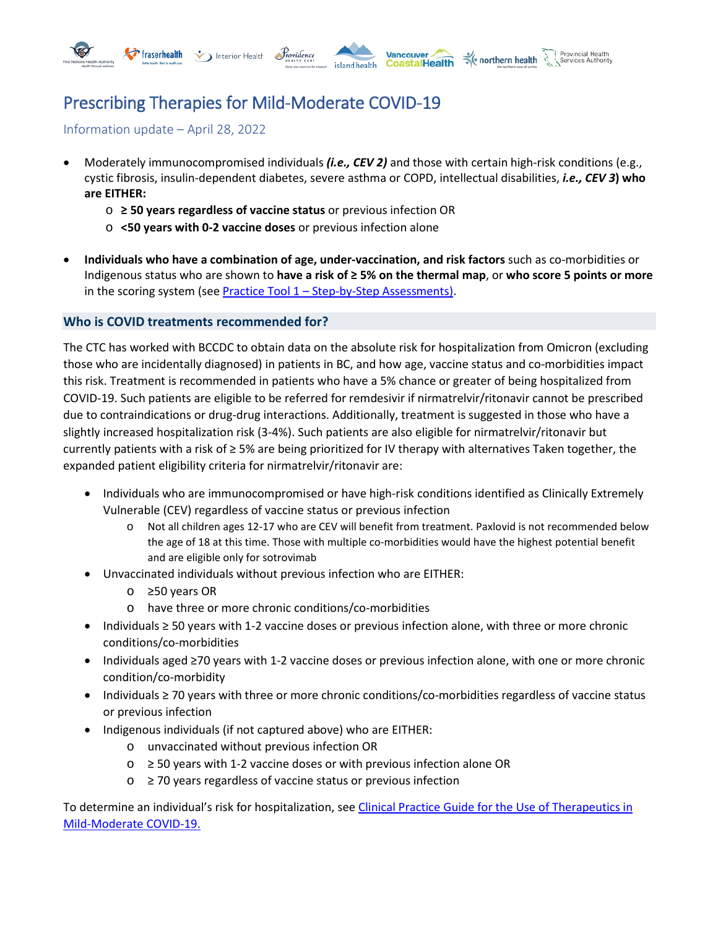





#### Provincial Health northern health

# Prescribing Therapies for Mild-Moderate COVID-19

Information update – April 28, 2022

- Moderately immunocompromised individuals *(i.e., CEV 2)* and those with certain high-risk conditions (e.g., cystic fibrosis, insulin-dependent diabetes, severe asthma or COPD, intellectual disabilities, *i.e., CEV 3***) who are EITHER:** 
	- o **≥ 50 years regardless of vaccine status** or previous infection OR
	- o **<50 years with 0-2 vaccine doses** or previous infection alone
- **Individuals who have a combination of age, under-vaccination, and risk factors** such as co-morbidities or Indigenous status who are shown to **have a risk of ≥ 5% on the thermal map**, or **who score 5 points or more**  in the scoring system (see Practice Tool 1 – [Step-by-Step Assessments\)](http://www.bccdc.ca/Health-Professionals-Site/Documents/COVID-treatment/PracticeTool1_AssessmentGuideforClinicians.pdf).

# **Who is COVID treatments recommended for?**

The CTC has worked with BCCDC to obtain data on the absolute risk for hospitalization from Omicron (excluding those who are incidentally diagnosed) in patients in BC, and how age, vaccine status and co-morbidities impact this risk. Treatment is recommended in patients who have a 5% chance or greater of being hospitalized from COVID-19. Such patients are eligible to be referred for remdesivir if nirmatrelvir/ritonavir cannot be prescribed due to contraindications or drug-drug interactions. Additionally, treatment is suggested in those who have a slightly increased hospitalization risk (3-4%). Such patients are also eligible for nirmatrelvir/ritonavir but currently patients with a risk of ≥ 5% are being prioritized for IV therapy with alternatives Taken together, the expanded patient eligibility criteria for nirmatrelvir/ritonavir are:

- Individuals who are immunocompromised or have high-risk conditions identified as Clinically Extremely Vulnerable (CEV) regardless of vaccine status or previous infection
	- o Not all children ages 12-17 who are CEV will benefit from treatment. Paxlovid is not recommended below the age of 18 at this time. Those with multiple co-morbidities would have the highest potential benefit and are eligible only for sotrovimab
- Unvaccinated individuals without previous infection who are EITHER:
	- o ≥50 years OR
	- o have three or more chronic conditions/co-morbidities
- Individuals ≥ 50 years with 1-2 vaccine doses or previous infection alone, with three or more chronic conditions/co-morbidities
- Individuals aged ≥70 years with 1-2 vaccine doses or previous infection alone, with one or more chronic condition/co-morbidity
- Individuals ≥ 70 years with three or more chronic conditions/co-morbidities regardless of vaccine status or previous infection
- Indigenous individuals (if not captured above) who are EITHER:
	- o unvaccinated without previous infection OR
	- $\circ$  ≥ 50 years with 1-2 vaccine doses or with previous infection alone OR
	- o ≥ 70 years regardless of vaccine status or previous infection

To determine an individual's risk for hospitalization, se[e Clinical Practice Guide for the Use of Therapeutics in](http://www.bccdc.ca/Health-Professionals-Site/Documents/COVID-treatment/ClinicalPracticeGuide_Therapeutics_MildModerateCOVID.pdf)  [Mild-Moderate COVID-19.](http://www.bccdc.ca/Health-Professionals-Site/Documents/COVID-treatment/ClinicalPracticeGuide_Therapeutics_MildModerateCOVID.pdf)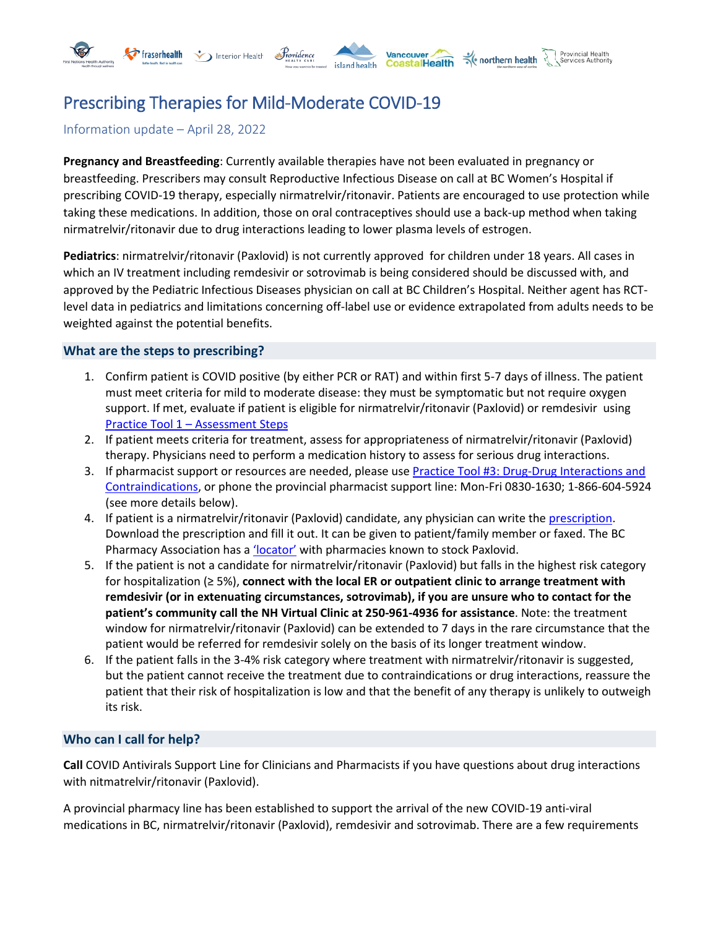

# Information update – April 28, 2022

**Pregnancy and Breastfeeding**: Currently available therapies have not been evaluated in pregnancy or breastfeeding. Prescribers may consult Reproductive Infectious Disease on call at BC Women's Hospital if prescribing COVID-19 therapy, especially nirmatrelvir/ritonavir. Patients are encouraged to use protection while taking these medications. In addition, those on oral contraceptives should use a back-up method when taking nirmatrelvir/ritonavir due to drug interactions leading to lower plasma levels of estrogen.

**Pediatrics**: nirmatrelvir/ritonavir (Paxlovid) is not currently approved for children under 18 years. All cases in which an IV treatment including remdesivir or sotrovimab is being considered should be discussed with, and approved by the Pediatric Infectious Diseases physician on call at BC Children's Hospital. Neither agent has RCTlevel data in pediatrics and limitations concerning off-label use or evidence extrapolated from adults needs to be weighted against the potential benefits.

### **What are the steps to prescribing?**

- 1. Confirm patient is COVID positive (by either PCR or RAT) and within first 5-7 days of illness. The patient must meet criteria for mild to moderate disease: they must be symptomatic but not require oxygen support. If met, evaluate if patient is eligible for nirmatrelvir/ritonavir (Paxlovid) or remdesivir using Practice Tool 1 – [Assessment Steps](http://www.bccdc.ca/Health-Professionals-Site/Documents/COVID-treatment/PracticeTool1_AssessmentGuideforClinicians.pdf)
- 2. If patient meets criteria for treatment, assess for appropriateness of nirmatrelvir/ritonavir (Paxlovid) therapy. Physicians need to perform a medication history to assess for serious drug interactions.
- 3. If pharmacist support or resources are needed, please use [Practice Tool #3: Drug-Drug Interactions and](http://www.bccdc.ca/Health-Professionals-Site/Documents/COVID-treatment/PracticeTool3_DrugInteractionsContraindications.pdf)  [Contraindications,](http://www.bccdc.ca/Health-Professionals-Site/Documents/COVID-treatment/PracticeTool3_DrugInteractionsContraindications.pdf) or phone the provincial pharmacist support line: Mon-Fri 0830-1630; 1-866-604-5924 (see more details below).
- 4. If patient is a nirmatrelvir/ritonavir (Paxlovid) candidate, any physician can write the [prescription.](https://www2.gov.bc.ca/assets/gov/health/forms/2368fil.pdf) Download the prescription and fill it out. It can be given to patient/family member or faxed. The BC Pharmacy Association has a ['locator'](https://www.bcpharmacy.ca/paxlovid/map) with pharmacies known to stock Paxlovid.
- 5. If the patient is not a candidate for nirmatrelvir/ritonavir (Paxlovid) but falls in the highest risk category for hospitalization (≥ 5%), **connect with the local ER or outpatient clinic to arrange treatment with remdesivir (or in extenuating circumstances, sotrovimab), if you are unsure who to contact for the patient's community call the NH Virtual Clinic at 250-961-4936 for assistance**. Note: the treatment window for nirmatrelvir/ritonavir (Paxlovid) can be extended to 7 days in the rare circumstance that the patient would be referred for remdesivir solely on the basis of its longer treatment window.
- 6. If the patient falls in the 3-4% risk category where treatment with nirmatrelvir/ritonavir is suggested, but the patient cannot receive the treatment due to contraindications or drug interactions, reassure the patient that their risk of hospitalization is low and that the benefit of any therapy is unlikely to outweigh its risk.

### **Who can I call for help?**

**Call** COVID Antivirals Support Line for Clinicians and Pharmacists if you have questions about drug interactions with nitmatrelvir/ritonavir (Paxlovid).

A provincial pharmacy line has been established to support the arrival of the new COVID-19 anti-viral medications in BC, nirmatrelvir/ritonavir (Paxlovid), remdesivir and sotrovimab. There are a few requirements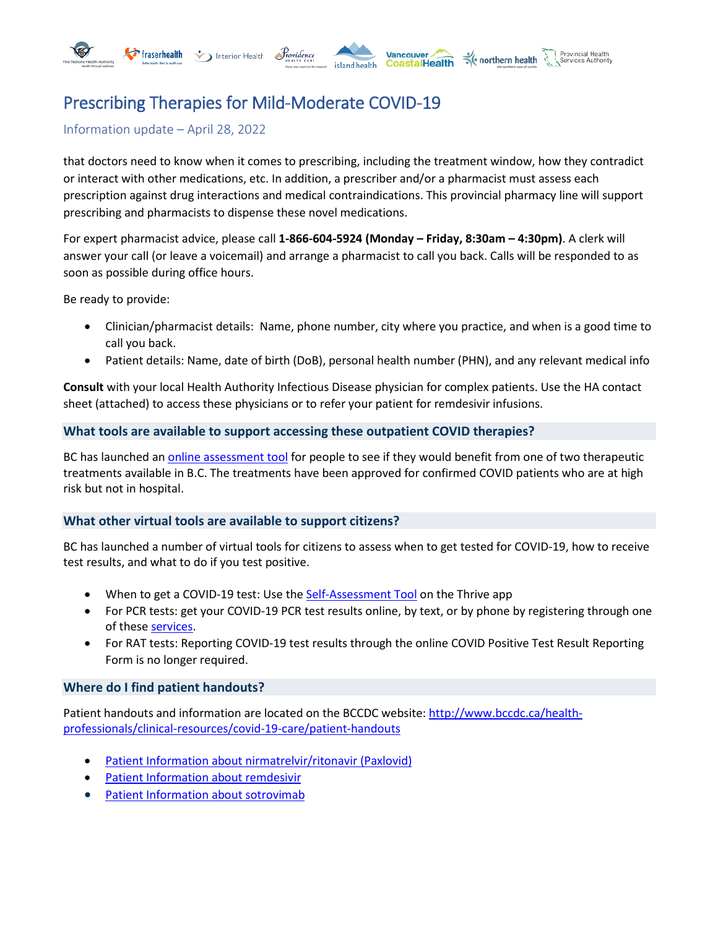

Information update – April 28, 2022

that doctors need to know when it comes to prescribing, including the treatment window, how they contradict or interact with other medications, etc. In addition, a prescriber and/or a pharmacist must assess each prescription against drug interactions and medical contraindications. This provincial pharmacy line will support prescribing and pharmacists to dispense these novel medications.

For expert pharmacist advice, please call **1-866-604-5924 (Monday – Friday, 8:30am – 4:30pm)**. A clerk will answer your call (or leave a voicemail) and arrange a pharmacist to call you back. Calls will be responded to as soon as possible during office hours.

Be ready to provide:

- Clinician/pharmacist details: Name, phone number, city where you practice, and when is a good time to call you back.
- Patient details: Name, date of birth (DoB), personal health number (PHN), and any relevant medical info

**Consult** with your local Health Authority Infectious Disease physician for complex patients. Use the [HA](https://www.doctorsofbc.ca/system/files/22_02_10_temp_ha_access_for_covid.pdf) contact sheet (attached) to access these physicians or to refer your patient for remdesivir infusions.

# **What tools are available to support accessing these outpatient COVID therapies?**

BC has launched an [online assessment tool](https://www2.gov.bc.ca/gov/content/covid-19/vaccine/treatments) for people to see if they would benefit from one of two therapeutic treatments available in B.C. The treatments have been approved for confirmed COVID patients who are at high risk but not in hospital.

### **What other virtual tools are available to support citizens?**

BC has launched a number of virtual tools for citizens to assess when to get tested for COVID-19, how to receive test results, and what to do if you test positive.

- When to get a COVID-19 test: Use the [Self-Assessment Tool](https://bc.thrive.health/covid19/en) on the Thrive app
- For PCR tests: get your COVID-19 PCR test results online, by text, or by phone by registering through one of these [services.](http://www.bccdc.ca/health-info/diseases-conditions/covid-19/testing/test-results)
- For RAT tests: Reporting COVID-19 test results through the online COVID Positive Test Result Reporting Form is no longer required.

### **Where do I find patient handouts?**

Patient handouts and information are located on the BCCDC website: [http://www.bccdc.ca/health](http://www.bccdc.ca/health-professionals/clinical-resources/covid-19-care/patient-handouts)[professionals/clinical-resources/covid-19-care/patient-handouts](http://www.bccdc.ca/health-professionals/clinical-resources/covid-19-care/patient-handouts)

- [Patient Information about](http://www.bccdc.ca/Health-Info-Site/Documents/COVID-19_Treatment/Patient_information-PAXLOVID.pdf) nirmatrelvir/ritonavir (Paxlovid)
- [Patient Information about remdesivir](http://www.bccdc.ca/Health-Info-Site/Documents/COVID-19_Treatment/Patient_information-remdesivir.pdf)
- [Patient Information about sotrovimab](http://www.bccdc.ca/Health-Info-Site/Documents/COVID-19_Treatment/Patient_information-SOTROVIMAB.pdf)